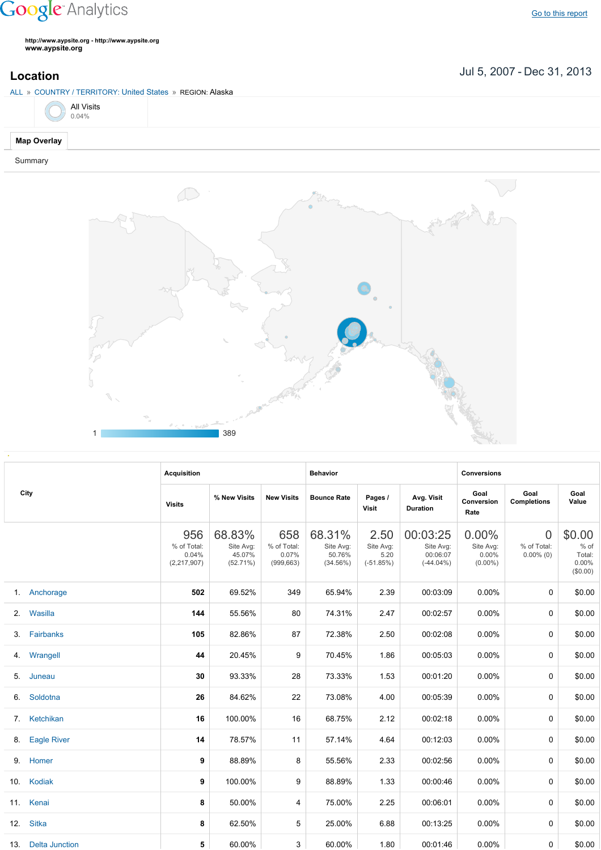## **Google** Analytics

**http://www.aypsite.org http://www.aypsite.org www.aypsite.org**

**Location** Jul 5, 2007 - Dec 31, 2013

| ALL » COUNTRY / TERRITORY: United States » REGION: Alaska |                       |  |  |  |  |  |
|-----------------------------------------------------------|-----------------------|--|--|--|--|--|
|                                                           | $\bigodot$ All Visits |  |  |  |  |  |
| <b>Map Overlay</b>                                        |                       |  |  |  |  |  |

Summary



|  | City               | <b>Acquisition</b>                         |                                           |                                           | <b>Behavior</b>                           |                                          |                                                   | <b>Conversions</b>                           |                                               |                                                    |  |
|--|--------------------|--------------------------------------------|-------------------------------------------|-------------------------------------------|-------------------------------------------|------------------------------------------|---------------------------------------------------|----------------------------------------------|-----------------------------------------------|----------------------------------------------------|--|
|  |                    | <b>Visits</b>                              | % New Visits                              | <b>New Visits</b>                         | <b>Bounce Rate</b>                        | Pages /<br>Visit                         | Avg. Visit<br><b>Duration</b>                     | Goal<br>Conversion<br>Rate                   | Goal<br><b>Completions</b>                    | Goal<br>Value                                      |  |
|  |                    | 956<br>% of Total:<br>0.04%<br>(2,217,907) | 68.83%<br>Site Avg:<br>45.07%<br>(52.71%) | 658<br>% of Total:<br>0.07%<br>(999, 663) | 68.31%<br>Site Avg:<br>50.76%<br>(34.56%) | 2.50<br>Site Avg:<br>5.20<br>$(-51.85%)$ | 00:03:25<br>Site Avg:<br>00:06:07<br>$(-44.04\%)$ | 0.00%<br>Site Avg:<br>$0.00\%$<br>$(0.00\%)$ | $\overline{0}$<br>% of Total:<br>$0.00\%$ (0) | \$0.00<br>$%$ of<br>Total:<br>$0.00\%$<br>(\$0.00) |  |
|  | 1. Anchorage       | 502                                        | 69.52%                                    | 349                                       | 65.94%                                    | 2.39                                     | 00:03:09                                          | 0.00%                                        | 0                                             | \$0.00                                             |  |
|  | 2. Wasilla         | 144                                        | 55.56%                                    | 80                                        | 74.31%                                    | 2.47                                     | 00:02:57                                          | 0.00%                                        | 0                                             | \$0.00                                             |  |
|  | 3. Fairbanks       | 105                                        | 82.86%                                    | 87                                        | 72.38%                                    | 2.50                                     | 00:02:08                                          | 0.00%                                        | 0                                             | \$0.00                                             |  |
|  | 4. Wrangell        | 44                                         | 20.45%                                    | 9                                         | 70.45%                                    | 1.86                                     | 00:05:03                                          | 0.00%                                        | 0                                             | \$0.00                                             |  |
|  | 5. Juneau          | 30                                         | 93.33%                                    | 28                                        | 73.33%                                    | 1.53                                     | 00:01:20                                          | 0.00%                                        | 0                                             | \$0.00                                             |  |
|  | 6. Soldotna        | 26                                         | 84.62%                                    | 22                                        | 73.08%                                    | 4.00                                     | 00:05:39                                          | 0.00%                                        | 0                                             | \$0.00                                             |  |
|  | 7. Ketchikan       | 16                                         | 100.00%                                   | 16                                        | 68.75%                                    | 2.12                                     | 00:02:18                                          | 0.00%                                        | 0                                             | \$0.00                                             |  |
|  | 8. Eagle River     | 14                                         | 78.57%                                    | 11                                        | 57.14%                                    | 4.64                                     | 00:12:03                                          | 0.00%                                        | 0                                             | \$0.00                                             |  |
|  | 9. Homer           | 9                                          | 88.89%                                    | 8                                         | 55.56%                                    | 2.33                                     | 00:02:56                                          | 0.00%                                        | 0                                             | \$0.00                                             |  |
|  | 10. Kodiak         | 9                                          | 100.00%                                   | 9                                         | 88.89%                                    | 1.33                                     | 00:00:46                                          | 0.00%                                        | 0                                             | \$0.00                                             |  |
|  | 11. Kenai          | 8                                          | 50.00%                                    | 4                                         | 75.00%                                    | 2.25                                     | 00:06:01                                          | 0.00%                                        | 0                                             | \$0.00                                             |  |
|  | 12. Sitka          | 8                                          | 62.50%                                    | 5                                         | 25.00%                                    | 6.88                                     | 00:13:25                                          | 0.00%                                        | 0                                             | \$0.00                                             |  |
|  | 13. Delta Junction | 5                                          | 60.00%                                    | 3                                         | 60.00%                                    | 1.80                                     | 00:01:46                                          | $0.00\%$                                     | 0                                             | \$0.00                                             |  |